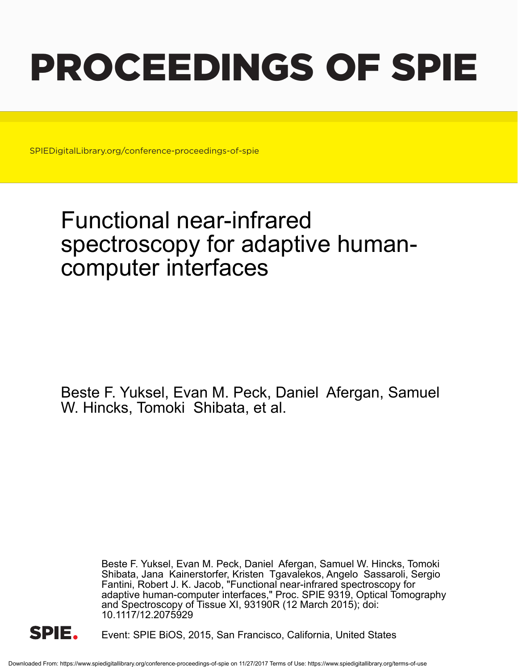# PROCEEDINGS OF SPIE

SPIEDigitalLibrary.org/conference-proceedings-of-spie

## Functional near-infrared spectroscopy for adaptive humancomputer interfaces

Beste F. Yuksel, Evan M. Peck, Daniel Afergan, Samuel W. Hincks, Tomoki Shibata, et al.

> Beste F. Yuksel, Evan M. Peck, Daniel Afergan, Samuel W. Hincks, Tomoki Shibata, Jana Kainerstorfer, Kristen Tgavalekos, Angelo Sassaroli, Sergio Fantini, Robert J. K. Jacob, "Functional near-infrared spectroscopy for adaptive human-computer interfaces," Proc. SPIE 9319, Optical Tomography and Spectroscopy of Tissue XI, 93190R (12 March 2015); doi: 10.1117/12.2075929



Event: SPIE BiOS, 2015, San Francisco, California, United States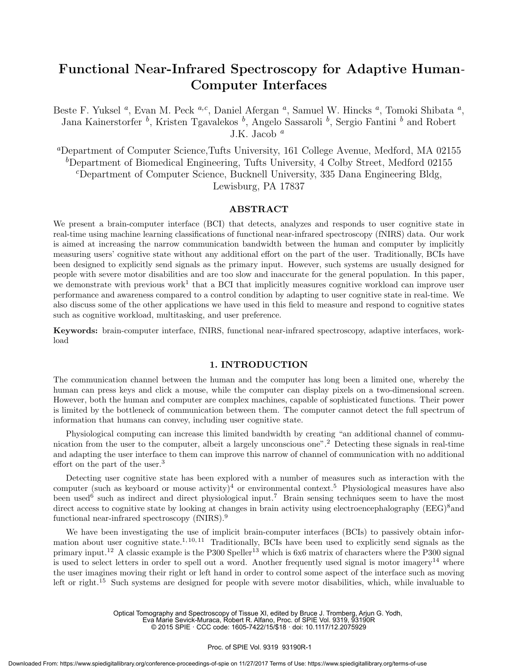### Functional Near-Infrared Spectroscopy for Adaptive Human-Computer Interfaces

Beste F. Yuksel <sup>a</sup>, Evan M. Peck <sup>a,c</sup>, Daniel Afergan <sup>a</sup>, Samuel W. Hincks <sup>a</sup>, Tomoki Shibata <sup>a</sup>, Jana Kainerstorfer <sup>b</sup>, Kristen Tgavalekos <sup>b</sup>, Angelo Sassaroli <sup>b</sup>, Sergio Fantini <sup>b</sup> and Robert J.K. Jacob  $^a$ 

<sup>a</sup>Department of Computer Science,Tufts University, 161 College Avenue, Medford, MA 02155 <sup>b</sup>Department of Biomedical Engineering, Tufts University, 4 Colby Street, Medford 02155  $c$ Department of Computer Science, Bucknell University, 335 Dana Engineering Bldg, Lewisburg, PA 17837

#### ABSTRACT

We present a brain-computer interface (BCI) that detects, analyzes and responds to user cognitive state in real-time using machine learning classifications of functional near-infrared spectroscopy (fNIRS) data. Our work is aimed at increasing the narrow communication bandwidth between the human and computer by implicitly measuring users' cognitive state without any additional effort on the part of the user. Traditionally, BCIs have been designed to explicitly send signals as the primary input. However, such systems are usually designed for people with severe motor disabilities and are too slow and inaccurate for the general population. In this paper, we demonstrate with previous work<sup>1</sup> that a BCI that implicitly measures cognitive workload can improve user performance and awareness compared to a control condition by adapting to user cognitive state in real-time. We also discuss some of the other applications we have used in this field to measure and respond to cognitive states such as cognitive workload, multitasking, and user preference.

Keywords: brain-computer interface, fNIRS, functional near-infrared spectroscopy, adaptive interfaces, workload

#### 1. INTRODUCTION

The communication channel between the human and the computer has long been a limited one, whereby the human can press keys and click a mouse, while the computer can display pixels on a two-dimensional screen. However, both the human and computer are complex machines, capable of sophisticated functions. Their power is limited by the bottleneck of communication between them. The computer cannot detect the full spectrum of information that humans can convey, including user cognitive state.

Physiological computing can increase this limited bandwidth by creating "an additional channel of communication from the user to the computer, albeit a largely unconscious one".<sup>2</sup> Detecting these signals in real-time and adapting the user interface to them can improve this narrow of channel of communication with no additional effort on the part of the user.<sup>3</sup>

Detecting user cognitive state has been explored with a number of measures such as interaction with the computer (such as keyboard or mouse activity)<sup>4</sup> or environmental context.<sup>5</sup> Physiological measures have also been used<sup>6</sup> such as indirect and direct physiological input.<sup>7</sup> Brain sensing techniques seem to have the most direct access to cognitive state by looking at changes in brain activity using electroencephalography (EEG)<sup>8</sup>and functional near-infrared spectroscopy (fNIRS).<sup>9</sup>

We have been investigating the use of implicit brain-computer interfaces (BCIs) to passively obtain information about user cognitive state.<sup>1, 10, 11</sup> Traditionally, BCIs have been used to explicitly send signals as the primary input.<sup>12</sup> A classic example is the P300 Speller<sup>13</sup> which is 6x6 matrix of characters where the P300 signal is used to select letters in order to spell out a word. Another frequently used signal is motor imagery<sup>14</sup> where the user imagines moving their right or left hand in order to control some aspect of the interface such as moving left or right.<sup>15</sup> Such systems are designed for people with severe motor disabilities, which, while invaluable to

> Optical Tomography and Spectroscopy of Tissue XI, edited by Bruce J. Tromberg, Arjun G. Yodh, Eva Marie Sevick-Muraca, Robert R. Alfano, Proc. of SPIE Vol. 9319, 93190R © 2015 SPIE · CCC code: 1605-7422/15/\$18 · doi: 10.1117/12.2075929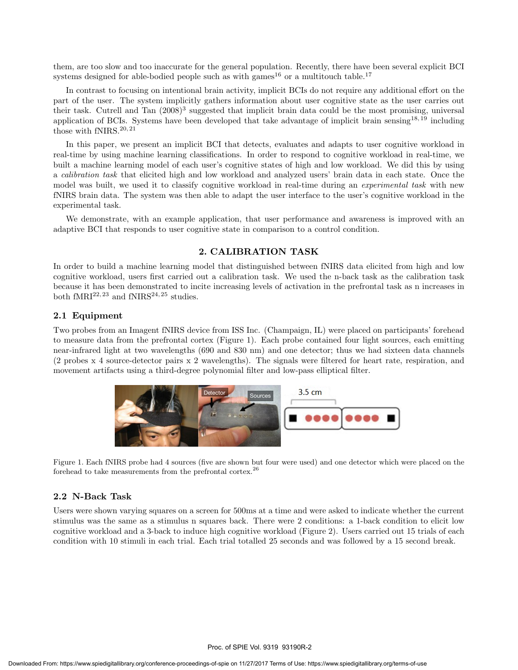them, are too slow and too inaccurate for the general population. Recently, there have been several explicit BCI systems designed for able-bodied people such as with games<sup>16</sup> or a multitouch table.<sup>17</sup>

In contrast to focusing on intentional brain activity, implicit BCIs do not require any additional effort on the part of the user. The system implicitly gathers information about user cognitive state as the user carries out their task. Cutrell and Tan  $(2008)^3$  suggested that implicit brain data could be the most promising, universal application of BCIs. Systems have been developed that take advantage of implicit brain sensing18, 19 including those with fNIRS. $20, 21$ 

In this paper, we present an implicit BCI that detects, evaluates and adapts to user cognitive workload in real-time by using machine learning classifications. In order to respond to cognitive workload in real-time, we built a machine learning model of each user's cognitive states of high and low workload. We did this by using a calibration task that elicited high and low workload and analyzed users' brain data in each state. Once the model was built, we used it to classify cognitive workload in real-time during an *experimental task* with new fNIRS brain data. The system was then able to adapt the user interface to the user's cognitive workload in the experimental task.

We demonstrate, with an example application, that user performance and awareness is improved with an adaptive BCI that responds to user cognitive state in comparison to a control condition.

#### 2. CALIBRATION TASK

In order to build a machine learning model that distinguished between fNIRS data elicited from high and low cognitive workload, users first carried out a calibration task. We used the n-back task as the calibration task because it has been demonstrated to incite increasing levels of activation in the prefrontal task as n increases in both fMRI<sup>22, 23</sup> and fNIRS<sup>24, 25</sup> studies.

#### 2.1 Equipment

Two probes from an Imagent fNIRS device from ISS Inc. (Champaign, IL) were placed on participants' forehead to measure data from the prefrontal cortex (Figure 1). Each probe contained four light sources, each emitting near-infrared light at two wavelengths (690 and 830 nm) and one detector; thus we had sixteen data channels (2 probes x 4 source-detector pairs x 2 wavelengths). The signals were filtered for heart rate, respiration, and movement artifacts using a third-degree polynomial filter and low-pass elliptical filter.



Figure 1. Each fNIRS probe had 4 sources (five are shown but four were used) and one detector which were placed on the forehead to take measurements from the prefrontal cortex.<sup>26</sup>

#### 2.2 N-Back Task

Users were shown varying squares on a screen for 500ms at a time and were asked to indicate whether the current stimulus was the same as a stimulus n squares back. There were 2 conditions: a 1-back condition to elicit low cognitive workload and a 3-back to induce high cognitive workload (Figure 2). Users carried out 15 trials of each condition with 10 stimuli in each trial. Each trial totalled 25 seconds and was followed by a 15 second break.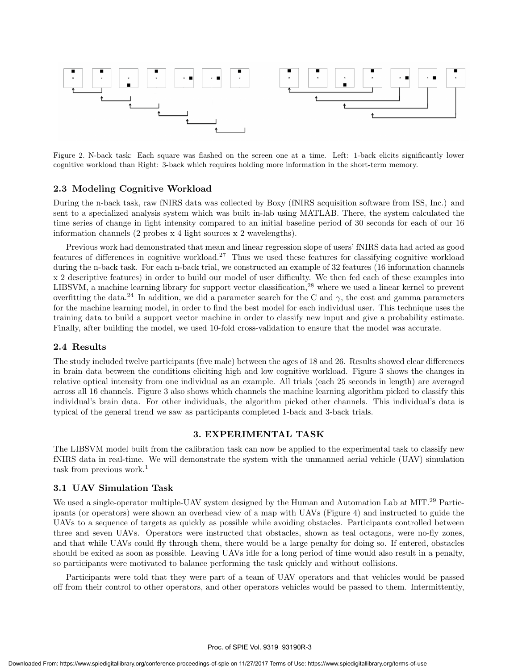

4- Figure 2. N-back task: Each square was flashed on the screen one at a time. Left: 1-back elicits significantly lower cognitive workload than Right: 3-back which requires holding more information in the short-term memory.

#### 2.3 Modeling Cognitive Workload

sent to a specialized analysis system which was built in-lab using MATLAB. There, the system calculated the During the n-back task, raw fNIRS data was collected by Boxy (fNIRS acquisition software from ISS, Inc.) and time series of change in light intensity compared to an initial baseline period of 30 seconds for each of our 16 information channels (2 probes x 4 light sources x 2 wavelengths).

overfitting the data.<sup>24</sup> In addition, we did a parameter search for the C and  $\gamma$ , the cost and gamma parameters Previous work had demonstrated that mean and linear regression slope of users' fNIRS data had acted as good features of differences in cognitive workload.<sup>27</sup> Thus we used these features for classifying cognitive workload during the n-back task. For each n-back trial, we constructed an example of 32 features (16 information channels x 2 descriptive features) in order to build our model of user difficulty. We then fed each of these examples into LIBSVM, a machine learning library for support vector classification,<sup>28</sup> where we used a linear kernel to prevent for the machine learning model, in order to find the best model for each individual user. This technique uses the training data to build a support vector machine in order to classify new input and give a probability estimate. Finally, after building the model, we used 10-fold cross-validation to ensure that the model was accurate.

#### 2.4 Results

The study included twelve participants (five male) between the ages of 18 and 26. Results showed clear differences<br>in brain data between the conditions eliciting high and low cognitive workload. Figure 3 shows the changes . J individual's brain data. For other individuals, the algorithm picked other channels. This individual's data is The study included twelve participants (five male) between the ages of 18 and 26. Results showed clear differences relative optical intensity from one individual as an example. All trials (each 25 seconds in length) are averaged across all 16 channels. Figure 3 also shows which channels the machine learning algorithm picked to classify this typical of the general trend we saw as participants completed 1-back and 3-back trials.

#### 3. EXPERIMENTAL TASK

fNIRS data in real-time. We will demonstrate the system with the unmanned aerial vehicle (UAV) simulation The LIBSVM model built from the calibration task can now be applied to the experimental task to classify new task from previous work.<sup>1</sup>

#### 3.1 UAV Simulation Task

We used a single-operator multiple-UAV system designed by the Human and Automation Lab at MIT.<sup>29</sup> Participants (or operators) were shown an overhead view of a map with UAVs (Figure 4) and instructed to guide the UAVs to a sequence of targets as quickly as possible while avoiding obstacles. Participants controlled between three and seven UAVs. Operators were instructed that obstacles, shown as teal octagons, were no-fly zones, and that while UAVs could fly through them, there would be a large penalty for doing so. If entered, obstacles should be exited as soon as possible. Leaving UAVs idle for a long period of time would also result in a penalty, so participants were motivated to balance performing the task quickly and without collisions.

Participants were told that they were part of a team of UAV operators and that vehicles would be passed off from their control to other operators, and other operators vehicles would be passed to them. Intermittently,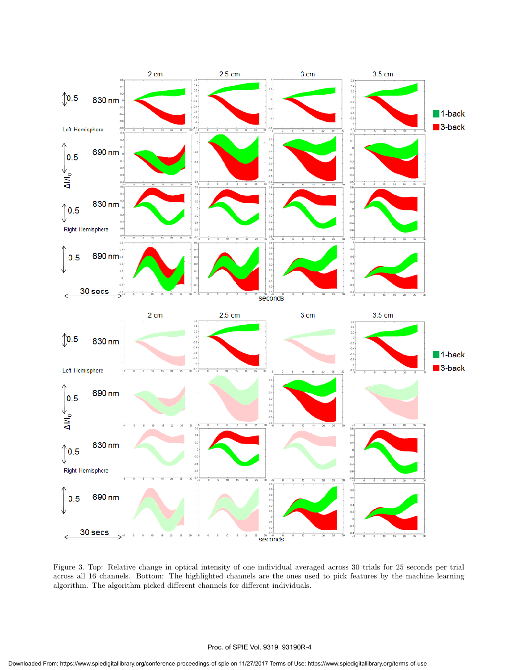

Figure 3. Top: Relative change in optical intensity of one individual averaged across 30 trials for 25 seconds per trial across all 16 channels. Bottom: The highlighted channels are the ones used to pick features by the machine learning algorithm. The algorithm picked different channels for different individuals.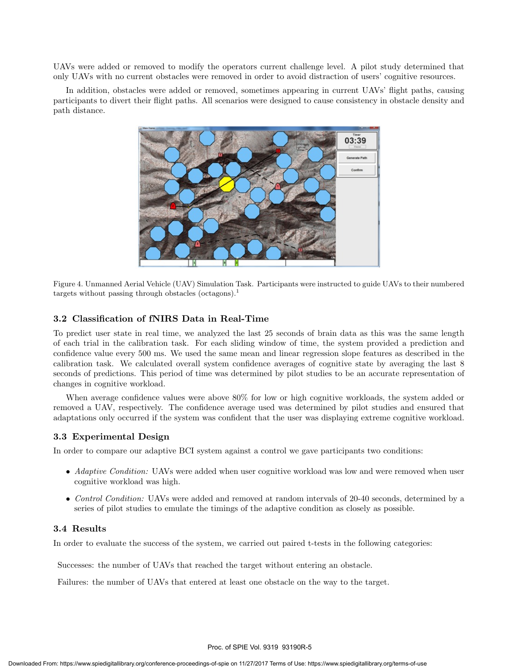UAVs were added or removed to modify the operators current challenge level. A pilot study determined that only UAVs with no current obstacles were removed in order to avoid distraction of users' cognitive resources.

In addition, obstacles were added or removed, sometimes appearing in current UAVs' flight paths, causing participants to divert their flight paths. All scenarios were designed to cause consistency in obstacle density and path distance.



Figure 4. Unmanned Aerial Vehicle (UAV) Simulation Task. Participants were instructed to guide UAVs to their numbered targets without passing through obstacles (octagons).<sup>1</sup>

#### 3.2 Classification of fNIRS Data in Real-Time

To predict user state in real time, we analyzed the last 25 seconds of brain data as this was the same length of each trial in the calibration task. For each sliding window of time, the system provided a prediction and confidence value every 500 ms. We used the same mean and linear regression slope features as described in the calibration task. We calculated overall system confidence averages of cognitive state by averaging the last 8 seconds of predictions. This period of time was determined by pilot studies to be an accurate representation of changes in cognitive workload.

When average confidence values were above  $80\%$  for low or high cognitive workloads, the system added or removed a UAV, respectively. The confidence average used was determined by pilot studies and ensured that adaptations only occurred if the system was confident that the user was displaying extreme cognitive workload.

#### 3.3 Experimental Design

In order to compare our adaptive BCI system against a control we gave participants two conditions:

- Adaptive Condition: UAVs were added when user cognitive workload was low and were removed when user cognitive workload was high.
- Control Condition: UAVs were added and removed at random intervals of 20-40 seconds, determined by a series of pilot studies to emulate the timings of the adaptive condition as closely as possible.

#### 3.4 Results

In order to evaluate the success of the system, we carried out paired t-tests in the following categories:

Successes: the number of UAVs that reached the target without entering an obstacle.

Failures: the number of UAVs that entered at least one obstacle on the way to the target.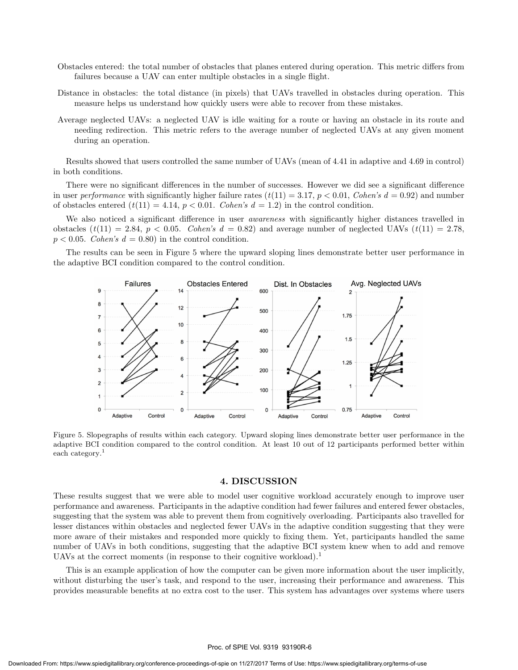- Obstacles entered: the total number of obstacles that planes entered during operation. This metric differs from failures because a UAV can enter multiple obstacles in a single flight.
- Distance in obstacles: the total distance (in pixels) that UAVs travelled in obstacles during operation. This measure helps us understand how quickly users were able to recover from these mistakes.
- Average neglected UAVs: a neglected UAV is idle waiting for a route or having an obstacle in its route and needing redirection. This metric refers to the average number of neglected UAVs at any given moment during an operation.

Results showed that users controlled the same number of UAVs (mean of 4.41 in adaptive and 4.69 in control) in both conditions.

There were no significant differences in the number of successes. However we did see a significant difference in user performance with significantly higher failure rates  $(t(11) = 3.17, p < 0.01, Cohen's d = 0.92)$  and number of obstacles entered  $(t(11) = 4.14, p < 0.01$ . Cohen's  $d = 1.2$ ) in the control condition.

We also noticed a significant difference in user *awareness* with significantly higher distances travelled in obstacles  $(t(11) = 2.84, p < 0.05$ . Cohen's  $d = 0.82$ ) and average number of neglected UAVs  $(t(11) = 2.78$ .  $p < 0.05$ . Cohen's  $d = 0.80$  in the control condition.

The results can be seen in Figure 5 where the upward sloping lines demonstrate better user performance in the adaptive BCI condition compared to the control condition.



Figure 5. Slopegraphs of results within each category. Upward sloping lines demonstrate better user performance in the adaptive BCI condition compared to the control condition. At least 10 out of 12 participants performed better within each category.<sup>1</sup>

#### 4. DISCUSSION

These results suggest that we were able to model user cognitive workload accurately enough to improve user performance and awareness. Participants in the adaptive condition had fewer failures and entered fewer obstacles, suggesting that the system was able to prevent them from cognitively overloading. Participants also travelled for lesser distances within obstacles and neglected fewer UAVs in the adaptive condition suggesting that they were more aware of their mistakes and responded more quickly to fixing them. Yet, participants handled the same number of UAVs in both conditions, suggesting that the adaptive BCI system knew when to add and remove UAVs at the correct moments (in response to their cognitive workload).<sup>1</sup>

This is an example application of how the computer can be given more information about the user implicitly, without disturbing the user's task, and respond to the user, increasing their performance and awareness. This provides measurable benefits at no extra cost to the user. This system has advantages over systems where users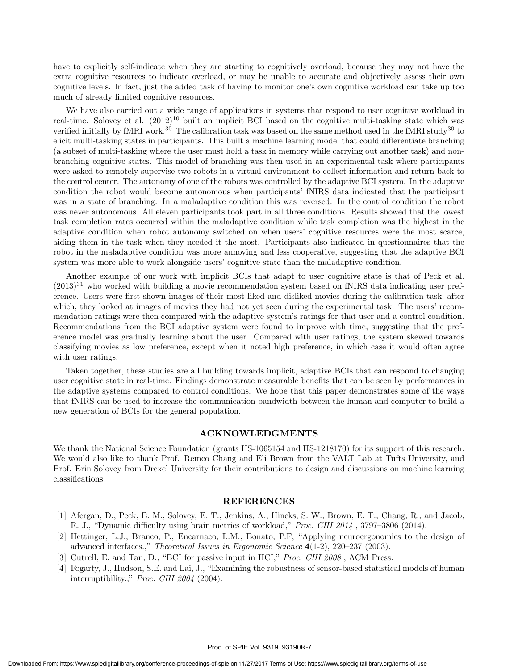have to explicitly self-indicate when they are starting to cognitively overload, because they may not have the extra cognitive resources to indicate overload, or may be unable to accurate and objectively assess their own cognitive levels. In fact, just the added task of having to monitor one's own cognitive workload can take up too much of already limited cognitive resources.

We have also carried out a wide range of applications in systems that respond to user cognitive workload in real-time. Solovey et al.  $(2012)^{10}$  built an implicit BCI based on the cognitive multi-tasking state which was verified initially by fMRI work.<sup>30</sup> The calibration task was based on the same method used in the fMRI study<sup>30</sup> to elicit multi-tasking states in participants. This built a machine learning model that could differentiate branching (a subset of multi-tasking where the user must hold a task in memory while carrying out another task) and nonbranching cognitive states. This model of branching was then used in an experimental task where participants were asked to remotely supervise two robots in a virtual environment to collect information and return back to the control center. The autonomy of one of the robots was controlled by the adaptive BCI system. In the adaptive condition the robot would become autonomous when participants' fNIRS data indicated that the participant was in a state of branching. In a maladaptive condition this was reversed. In the control condition the robot was never autonomous. All eleven participants took part in all three conditions. Results showed that the lowest task completion rates occurred within the maladaptive condition while task completion was the highest in the adaptive condition when robot autonomy switched on when users' cognitive resources were the most scarce, aiding them in the task when they needed it the most. Participants also indicated in questionnaires that the robot in the maladaptive condition was more annoying and less cooperative, suggesting that the adaptive BCI system was more able to work alongside users' cognitive state than the maladaptive condition.

Another example of our work with implicit BCIs that adapt to user cognitive state is that of Peck et al.  $(2013)^{31}$  who worked with building a movie recommendation system based on fNIRS data indicating user preference. Users were first shown images of their most liked and disliked movies during the calibration task, after which, they looked at images of movies they had not yet seen during the experimental task. The users' recommendation ratings were then compared with the adaptive system's ratings for that user and a control condition. Recommendations from the BCI adaptive system were found to improve with time, suggesting that the preference model was gradually learning about the user. Compared with user ratings, the system skewed towards classifying movies as low preference, except when it noted high preference, in which case it would often agree with user ratings.

Taken together, these studies are all building towards implicit, adaptive BCIs that can respond to changing user cognitive state in real-time. Findings demonstrate measurable benefits that can be seen by performances in the adaptive systems compared to control conditions. We hope that this paper demonstrates some of the ways that fNIRS can be used to increase the communication bandwidth between the human and computer to build a new generation of BCIs for the general population.

#### ACKNOWLEDGMENTS

We thank the National Science Foundation (grants IIS-1065154 and IIS-1218170) for its support of this research. We would also like to thank Prof. Remco Chang and Eli Brown from the VALT Lab at Tufts University, and Prof. Erin Solovey from Drexel University for their contributions to design and discussions on machine learning classifications.

#### REFERENCES

- [1] Afergan, D., Peck, E. M., Solovey, E. T., Jenkins, A., Hincks, S. W., Brown, E. T., Chang, R., and Jacob, R. J., "Dynamic difficulty using brain metrics of workload," Proc. CHI 2014 , 3797–3806 (2014).
- [2] Hettinger, L.J., Branco, P., Encarnaco, L.M., Bonato, P.F, "Applying neuroergonomics to the design of advanced interfaces.," Theoretical Issues in Ergonomic Science 4(1-2), 220–237 (2003).
- [3] Cutrell, E. and Tan, D., "BCI for passive input in HCI," Proc. CHI 2008 , ACM Press.
- [4] Fogarty, J., Hudson, S.E. and Lai, J., "Examining the robustness of sensor-based statistical models of human interruptibility.," Proc. CHI 2004 (2004).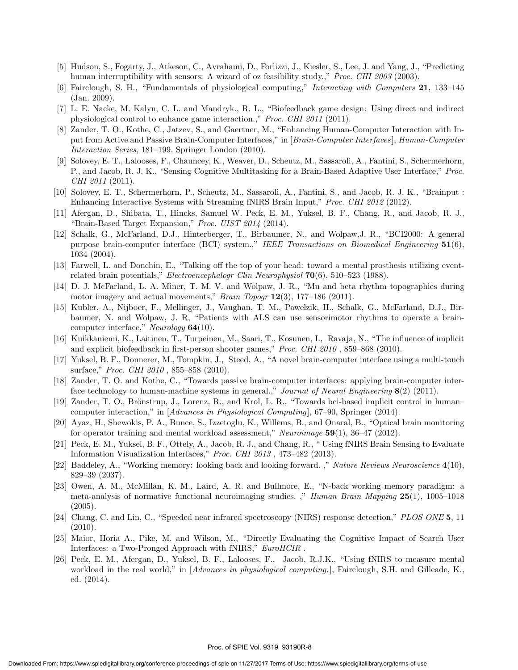- [5] Hudson, S., Fogarty, J., Atkeson, C., Avrahami, D., Forlizzi, J., Kiesler, S., Lee, J. and Yang, J., "Predicting human interruptibility with sensors: A wizard of oz feasibility study.," Proc. CHI 2003 (2003).
- [6] Fairclough, S. H., "Fundamentals of physiological computing," Interacting with Computers 21, 133–145 (Jan. 2009).
- [7] L. E. Nacke, M. Kalyn, C. L. and Mandryk., R. L., "Biofeedback game design: Using direct and indirect physiological control to enhance game interaction.," Proc. CHI 2011 (2011).
- [8] Zander, T. O., Kothe, C., Jatzev, S., and Gaertner, M., "Enhancing Human-Computer Interaction with Input from Active and Passive Brain-Computer Interfaces," in [Brain-Computer Interfaces], Human-Computer Interaction Series, 181–199, Springer London (2010).
- [9] Solovey, E. T., Lalooses, F., Chauncey, K., Weaver, D., Scheutz, M., Sassaroli, A., Fantini, S., Schermerhorn, P., and Jacob, R. J. K., "Sensing Cognitive Multitasking for a Brain-Based Adaptive User Interface," Proc. CHI 2011 (2011).
- [10] Solovey, E. T., Schermerhorn, P., Scheutz, M., Sassaroli, A., Fantini, S., and Jacob, R. J. K., "Brainput : Enhancing Interactive Systems with Streaming fNIRS Brain Input," *Proc. CHI 2012* (2012).
- [11] Afergan, D., Shibata, T., Hincks, Samuel W. Peck, E. M., Yuksel, B. F., Chang, R., and Jacob, R. J., "Brain-Based Target Expansion," Proc. UIST 2014 (2014).
- [12] Schalk, G., McFarland, D.J., Hinterberger, T., Birbaumer, N., and Wolpaw,J. R., "BCI2000: A general purpose brain-computer interface (BCI) system.," IEEE Transactions on Biomedical Engineering 51(6), 1034 (2004).
- [13] Farwell, L. and Donchin, E., "Talking off the top of your head: toward a mental prosthesis utilizing eventrelated brain potentials," *Electroencephalogr Clin Neurophysiol*  $70(6)$ , 510–523 (1988).
- [14] D. J. McFarland, L. A. Miner, T. M. V. and Wolpaw, J. R., "Mu and beta rhythm topographies during motor imagery and actual movements," Brain Topogr 12(3), 177-186 (2011).
- [15] Kubler, A., Nijboer, F., Mellinger, J., Vaughan, T. M., Pawelzik, H., Schalk, G., McFarland, D.J., Birbaumer, N. and Wolpaw, J. R, "Patients with ALS can use sensorimotor rhythms to operate a braincomputer interface," Neurology 64(10).
- [16] Kuikkaniemi, K., Laitinen, T., Turpeinen, M., Saari, T., Kosunen, I., Ravaja, N., "The influence of implicit and explicit biofeedback in first-person shooter games," Proc. CHI 2010 , 859–868 (2010).
- [17] Yuksel, B. F., Donnerer, M., Tompkin, J., Steed, A., "A novel brain-computer interface using a multi-touch surface," Proc. CHI 2010, 855-858 (2010).
- [18] Zander, T. O. and Kothe, C., "Towards passive brain-computer interfaces: applying brain-computer interface technology to human-machine systems in general.," Journal of Neural Engineering  $8(2)$  (2011).
- [19] Zander, T. O., Brönstrup, J., Lorenz, R., and Krol, L. R., "Towards bci-based implicit control in human– computer interaction," in [Advances in Physiological Computing], 67–90, Springer (2014).
- [20] Ayaz, H., Shewokis, P. A., Bunce, S., Izzetoglu, K., Willems, B., and Onaral, B., "Optical brain monitoring for operator training and mental workload assessment," Neuroimage  $59(1)$ ,  $36-47$  (2012).
- [21] Peck, E. M., Yuksel, B. F., Ottely, A., Jacob, R. J., and Chang, R., " Using fNIRS Brain Sensing to Evaluate Information Visualization Interfaces," Proc. CHI 2013 , 473–482 (2013).
- [22] Baddeley, A., "Working memory: looking back and looking forward. ," Nature Reviews Neuroscience 4(10), 829–39 (2037).
- [23] Owen, A. M., McMillan, K. M., Laird, A. R. and Bullmore, E., "N-back working memory paradigm: a meta-analysis of normative functional neuroimaging studies. ," Human Brain Mapping 25(1), 1005–1018 (2005).
- [24] Chang, C. and Lin, C., "Speeded near infrared spectroscopy (NIRS) response detection," PLOS ONE 5, 11 (2010).
- [25] Maior, Horia A., Pike, M. and Wilson, M., "Directly Evaluating the Cognitive Impact of Search User Interfaces: a Two-Pronged Approach with fNIRS," EuroHCIR.
- [26] Peck, E. M., Afergan, D., Yuksel, B. F., Lalooses, F., Jacob, R.J.K., "Using fNIRS to measure mental workload in the real world," in [*Advances in physiological computing.*], Fairclough, S.H. and Gilleade, K., ed. (2014).